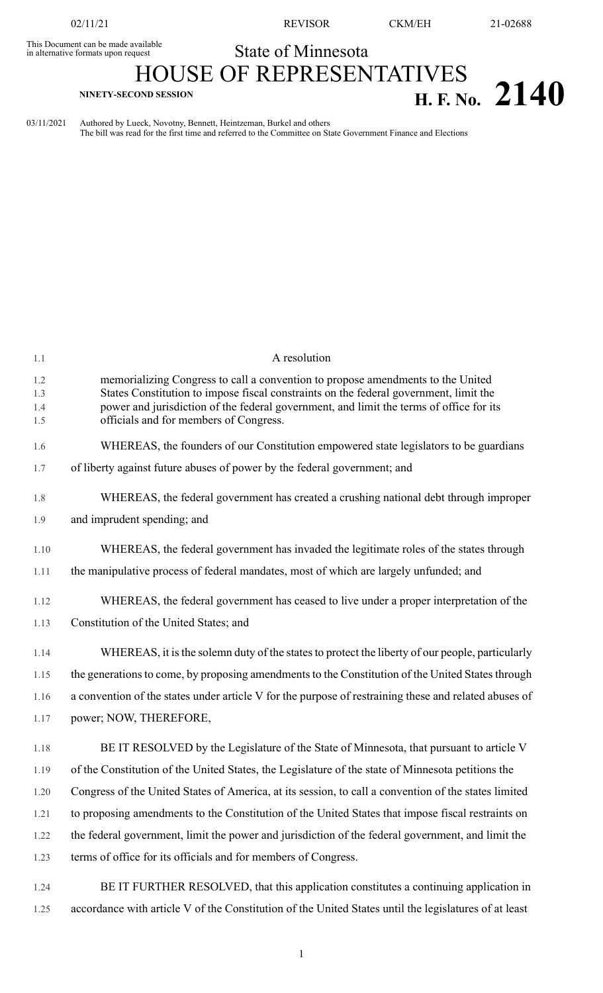02/11/21 REVISOR CKM/EH 21-02688

## State of Minnesota This Document can be made available in alternative formats upon request

## **HOUSE OF REPRESENTATIVES**  $H. F. No. 2140$

03/11/2021 Authored by Lueck, Novotny, Bennett, Heintzeman, Burkel and others The bill was read for the first time and referred to the Committee on State Government Finance and Elections

| 1.1                      | A resolution                                                                                                                                                                                                                                                                                                  |
|--------------------------|---------------------------------------------------------------------------------------------------------------------------------------------------------------------------------------------------------------------------------------------------------------------------------------------------------------|
| 1.2<br>1.3<br>1.4<br>1.5 | memorializing Congress to call a convention to propose amendments to the United<br>States Constitution to impose fiscal constraints on the federal government, limit the<br>power and jurisdiction of the federal government, and limit the terms of office for its<br>officials and for members of Congress. |
| 1.6                      | WHEREAS, the founders of our Constitution empowered state legislators to be guardians                                                                                                                                                                                                                         |
| 1.7                      | of liberty against future abuses of power by the federal government; and                                                                                                                                                                                                                                      |
|                          |                                                                                                                                                                                                                                                                                                               |
| 1.8                      | WHEREAS, the federal government has created a crushing national debt through improper                                                                                                                                                                                                                         |
| 1.9                      | and imprudent spending; and                                                                                                                                                                                                                                                                                   |
| 1.10                     | WHEREAS, the federal government has invaded the legitimate roles of the states through                                                                                                                                                                                                                        |
| 1.11                     | the manipulative process of federal mandates, most of which are largely unfunded; and                                                                                                                                                                                                                         |
| 1.12                     | WHEREAS, the federal government has ceased to live under a proper interpretation of the                                                                                                                                                                                                                       |
| 1.13                     | Constitution of the United States; and                                                                                                                                                                                                                                                                        |
|                          |                                                                                                                                                                                                                                                                                                               |
| 1.14                     | WHEREAS, it is the solemn duty of the states to protect the liberty of our people, particularly                                                                                                                                                                                                               |
| 1.15                     | the generations to come, by proposing amendments to the Constitution of the United States through                                                                                                                                                                                                             |
| 1.16                     | a convention of the states under article V for the purpose of restraining these and related abuses of                                                                                                                                                                                                         |
| 1.17                     | power; NOW, THEREFORE,                                                                                                                                                                                                                                                                                        |
| 1.18                     | BE IT RESOLVED by the Legislature of the State of Minnesota, that pursuant to article V                                                                                                                                                                                                                       |
| 1.19                     | of the Constitution of the United States, the Legislature of the state of Minnesota petitions the                                                                                                                                                                                                             |
| 1.20                     | Congress of the United States of America, at its session, to call a convention of the states limited                                                                                                                                                                                                          |
| 1.21                     | to proposing amendments to the Constitution of the United States that impose fiscal restraints on                                                                                                                                                                                                             |
| 1.22                     | the federal government, limit the power and jurisdiction of the federal government, and limit the                                                                                                                                                                                                             |
| 1.23                     | terms of office for its officials and for members of Congress.                                                                                                                                                                                                                                                |
| 1.24                     | BE IT FURTHER RESOLVED, that this application constitutes a continuing application in                                                                                                                                                                                                                         |

1.25 accordance with article V of the Constitution of the United States until the legislatures of at least